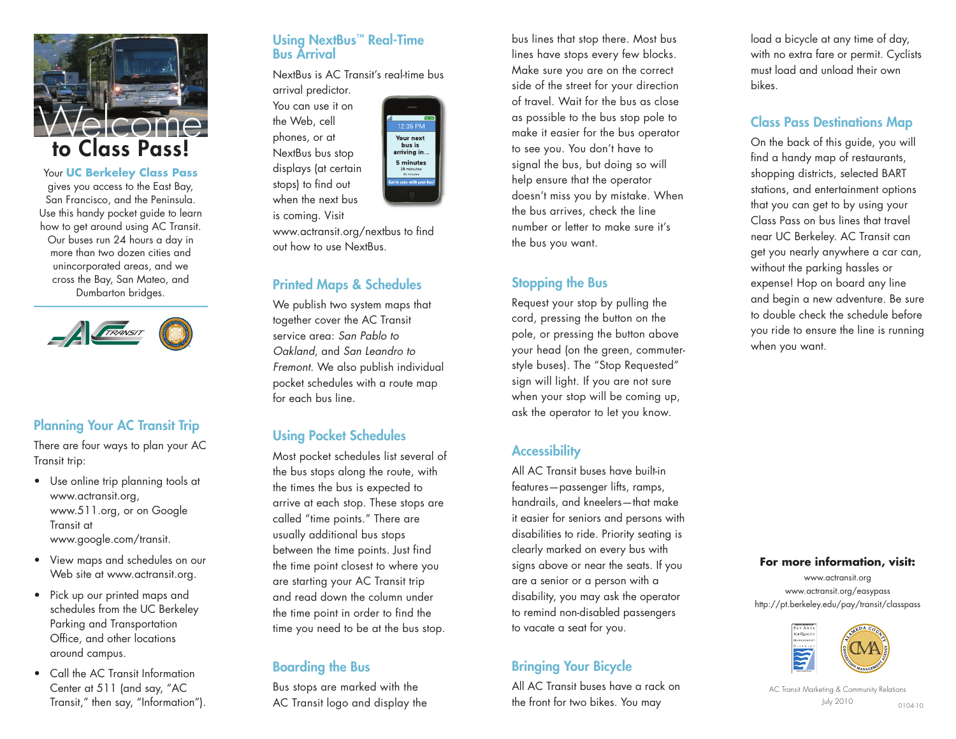

Your **UC Berkeley Class Pass** <sup>g</sup>ives you access to the East Bay, San Francisco, and the Peninsula. Use this handy pocket guide to learn how to get around using AC Transit. Our buses run 24 hours a day in more than two dozen cities and unincorporated areas, and we cross the Bay, San Mateo, and Dumbarton bridges.



#### **Planning Your AC Transit Trip**

There are four ways to plan your AC Transit trip:

- Use online trip planning tools at www.actransit.org, www.511.org, or on Google Transit at www.google.com/transit.
- View maps and schedules on our Web site at www.actransit.org.
- Pick up our printed maps and schedules from the UC Berkeley Parking and Transportation Office, and other locations around campus.
- Call the AC Transit Information Center at 511 (and say, "AC Transit," then say, "Information").

#### **Using NextBus ™ Real-Time Bus Arrival**

NextBus is AC Transit's real-time bus arrival predictor.

You can use it on the Web, cell <sup>p</sup>hones, or at NextBus bus stop displays (at certain stops) to find out when the next bus



is coming. Visit www.actransit.org/nextbus to find out how to use NextBus.

#### **Printed Maps & Schedules**

We publish two system maps that together cover the AC Transit service area: *San Pablo to Oakland*, and *San Leandro to Fremont*. We also publish individual pocket schedules with a route map for each bus line.

#### **Using Pocket Schedules**

Most pocket schedules list several of the bus stops along the route, with the times the bus is expected to arrive at each stop. These stops are called "time points." There are usually additional bus stops between the time points. Just find the time point closest to where you are starting your AC Transit trip and read down the column under the time point in order to find the time you need to be at the bus stop.

#### **Boarding the Bus**

Bus stops are marked with the AC Transit logo and display the bus lines that stop there. Most bus lines have stops every few blocks. Make sure you are on the correct side of the street for your direction of travel. Wait for the bus as close as possible to the bus stop pole to make it easier for the bus operator to see you. You don't have to signal the bus, but doing so will help ensure that the operator doesn't miss you by mistake. When the bus arrives, check the line number or letter to make sure it's the bus you want.

#### **Stopping the Bus**

Request your stop by pulling the cord, pressing the button on the pole, or pressing the button above your head (on the green, commuterstyle buses). The "Stop Requested" sign will light. If you are not sure when your stop will be coming up, ask the operator to let you know.

#### **Accessibility**

All AC Transit buses have built-in features—passenger lifts, ramps, handrails, and kneelers—that make it easier for seniors and persons with disabilities to ride. Priority seating is clearly marked on every bus with signs above or near the seats. If you are a senior or a person with a disability, you may ask the operator to remind non-disabled passengers to vacate a seat for you.

#### **Bringing Your Bicycle**

All AC Transit buses have a rack on the front for two bikes. You may

load a bicycle at any time of day, with no extra fare or permit. Cyclists must load and unload their own bikes.

#### **Class Pass Destinations Map**

On the back of this guide, you will find a handy map of restaurants, shopping districts, selected BART stations, and entertainment options that you can get to by using your Class Pass on bus lines that travel near UC Berkeley. AC Transit can get you nearly anywhere a car can, without the parking hassles or expense! Hop on board any line and begin a new adventure. Be sure to double check the schedule before you ride to ensure the line is running when you want.

#### **For more information, visit:**

www.actransit.org www.actransit.org/easypass http://pt.berkeley.edu/pay/transit/classpass



AC Transit Marketing & Community Relations July 2010 0104-10